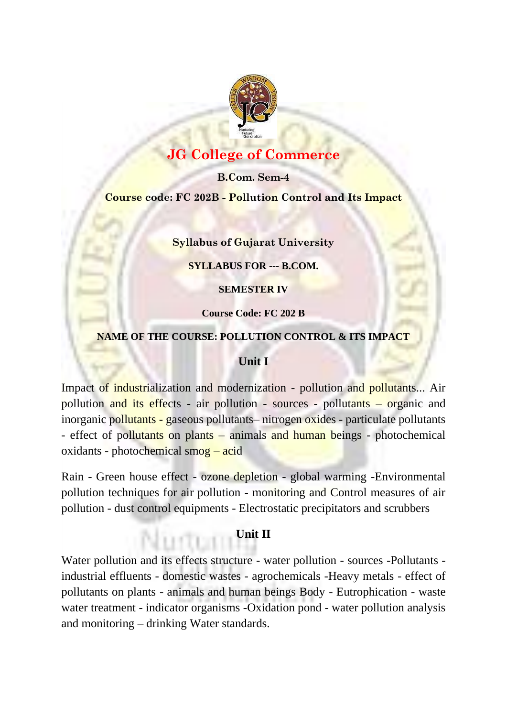

# **JG College of Commerce**

**B.Com. Sem-4 Course code: FC 202B - Pollution Control and Its Impact**

### **Syllabus of Gujarat University**

**SYLLABUS FOR --- B.COM.**

**SEMESTER IV**

**Course Code: FC 202 B**

### **NAME OF THE COURSE: POLLUTION CONTROL & ITS IMPACT**

# **Unit I**

Impact of industrialization and modernization - pollution and pollutants... Air pollution and its effects - air pollution - sources - pollutants – organic and inorganic pollutants - gaseous pollutants– nitrogen oxides - particulate pollutants - effect of pollutants on plants – animals and human beings - photochemical oxidants - photochemical smog – acid

Rain - Green house effect - ozone depletion - global warming -Environmental pollution techniques for air pollution - monitoring and Control measures of air pollution - dust control equipments - Electrostatic precipitators and scrubbers

# **Unit II**

Water pollution and its effects structure - water pollution - sources -Pollutants industrial effluents - domestic wastes - agrochemicals -Heavy metals - effect of pollutants on plants - animals and human beings Body - Eutrophication - waste water treatment - indicator organisms -Oxidation pond - water pollution analysis and monitoring – drinking Water standards.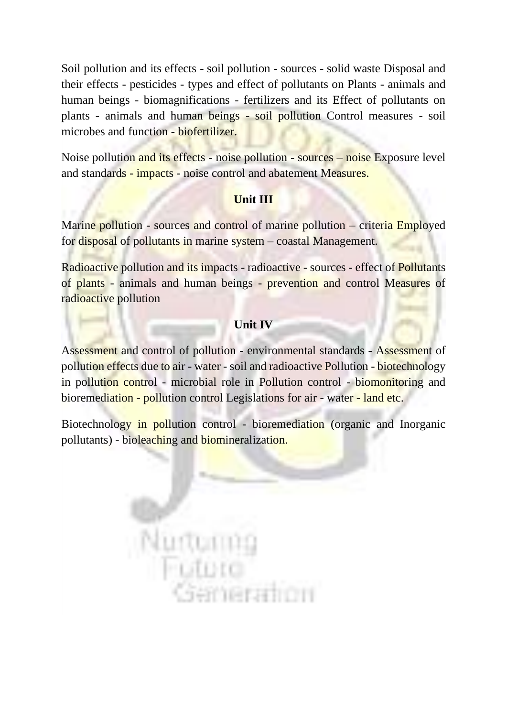Soil pollution and its effects - soil pollution - sources - solid waste Disposal and their effects - pesticides - types and effect of pollutants on Plants - animals and human beings - biomagnifications - fertilizers and its Effect of pollutants on plants - animals and human beings - soil pollution Control measures - soil microbes and function - biofertilizer.

Noise pollution and its effects - noise pollution - sources – noise Exposure level and standards - impacts - noise control and abatement Measures.

# **Unit III**

Marine pollution - sources and control of marine pollution – criteria Employed for disposal of pollutants in marine system – coastal Management.

Radioactive pollution and its impacts - radioactive - sources - effect of Pollutants of plants - animals and human beings - prevention and control Measures of radioactive pollution

# **Unit IV**

Assessment and control of pollution - environmental standards - Assessment of pollution effects due to air - water - soil and radioactive Pollution - biotechnology in pollution control - microbial role in Pollution control - biomonitoring and bioremediation - pollution control Legislations for air - water - land etc.

Biotechnology in pollution control - bioremediation (organic and Inorganic pollutants) - bioleaching and biomineralization.

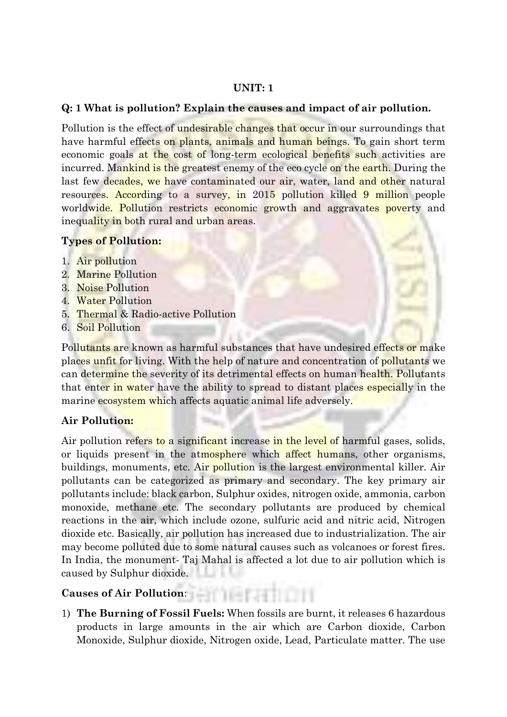### **UNIT: 1**

## **Q: 1 What is pollution? Explain the causes and impact of air pollution.**

Pollution is the effect of undesirable changes that occur in our surroundings that have harmful effects on plants, animals and human beings. To gain short term economic goals at the cost of long-term ecological benefits such activities are incurred. Mankind is the greatest enemy of the eco cycle on the earth. During the last few decades, we have contaminated our air, water, land and other natural resources. According to a survey, in 2015 pollution killed 9 million people worldwide. Pollution restricts economic growth and aggravates poverty and inequality in both rural and urban areas.

# **Types of Pollution:**

- 1. Air pollution
- 2. Marine Pollution
- 3. Noise Pollution
- 4. Water Pollution
- 5. Thermal & Radio-active Pollution
- 6. Soil Pollution

Pollutants are known as harmful substances that have undesired effects or make places unfit for living. With the help of nature and concentration of pollutants we can determine the severity of its detrimental effects on human health. Pollutants that enter in water have the ability to spread to distant places especially in the marine ecosystem which affects aquatic animal life adversely.

# **Air Pollution:**

Air pollution refers to a significant increase in the level of harmful gases, solids, or liquids present in the atmosphere which affect humans, other organisms, buildings, monuments, etc. Air pollution is the largest environmental killer. Air pollutants can be categorized as primary and secondary. The key primary air pollutants include: black carbon, Sulphur oxides, nitrogen oxide, ammonia, carbon monoxide, methane etc. The secondary pollutants are produced by chemical reactions in the air, which include ozone, sulfuric acid and nitric acid, Nitrogen dioxide etc. Basically, air pollution has increased due to industrialization. The air may become polluted due to some natural causes such as volcanoes or forest fires. In India, the monument- Taj Mahal is affected a lot due to air pollution which is caused by Sulphur dioxide.

# **Causes of Air Pollution**:

1) **The Burning of Fossil Fuels:** When fossils are burnt, it releases 6 hazardous products in large amounts in the air which are Carbon dioxide, Carbon Monoxide, Sulphur dioxide, Nitrogen oxide, Lead, Particulate matter. The use

emeranon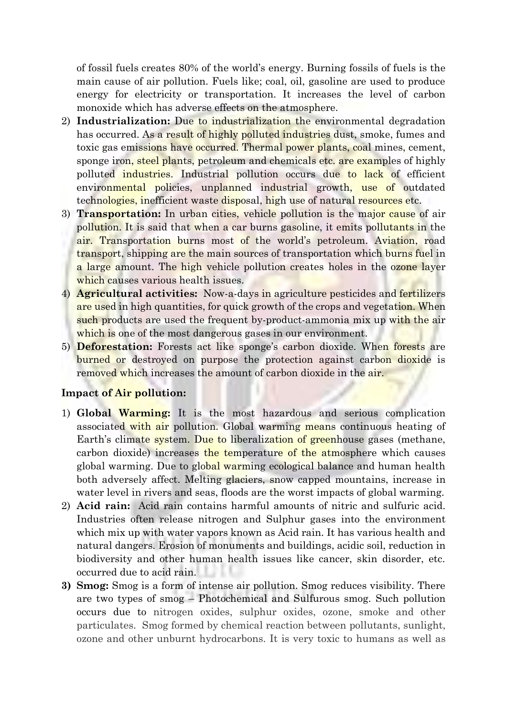of fossil fuels creates 80% of the world's energy. Burning fossils of fuels is the main cause of air pollution. Fuels like; coal, oil, gasoline are used to produce energy for electricity or transportation. It increases the level of carbon monoxide which has adverse effects on the atmosphere.

- 2) **Industrialization:** Due to industrialization the environmental degradation has occurred. As a result of highly polluted industries dust, smoke, fumes and toxic gas emissions have occurred. Thermal power plants, coal mines, cement, sponge iron, steel plants, petroleum and chemicals etc. are examples of highly polluted industries. Industrial pollution occurs due to lack of efficient environmental policies, unplanned industrial growth, use of outdated technologies, inefficient waste disposal, high use of natural resources etc.
- 3) **Transportation:** In urban cities, vehicle pollution is the major cause of air pollution. It is said that when a car burns gasoline, it emits pollutants in the air. Transportation burns most of the world's petroleum. Aviation, road transport, shipping are the main sources of transportation which burns fuel in a large amount. The high vehicle pollution creates holes in the ozone layer which causes various health issues.
- 4) **Agricultural activities:** Now-a-days in agriculture pesticides and fertilizers are used in high quantities, for quick growth of the crops and vegetation. When such products are used the frequent by-product-ammonia mix up with the air which is one of the most dangerous gases in our environment.
- 5) **Deforestation:** Forests act like sponge's carbon dioxide. When forests are burned or destroyed on purpose the protection against carbon dioxide is removed which increases the amount of carbon dioxide in the air.

#### **Impact of Air pollution:**

- 1) **Global Warming:** It is the most hazardous and serious complication associated with air pollution. Global warming means continuous heating of Earth's climate system. Due to liberalization of greenhouse gases (methane, carbon dioxide) increases the temperature of the atmosphere which causes global warming. Due to global warming ecological balance and human health both adversely affect. Melting glaciers, snow capped mountains, increase in water level in rivers and seas, floods are the worst impacts of global warming.
- 2) **Acid rain:** Acid rain contains harmful amounts of nitric and sulfuric acid. Industries often release nitrogen and Sulphur gases into the environment which mix up with water vapors known as Acid rain. It has various health and natural dangers. Erosion of monuments and buildings, acidic soil, reduction in biodiversity and other human health issues like cancer, skin disorder, etc. occurred due to acid rain.
- **3) Smog:** Smog is a form of intense air pollution. Smog reduces visibility. There are two types of smog – Photochemical and Sulfurous smog. Such pollution occurs due to nitrogen oxides, sulphur oxides, ozone, smoke and other particulates. Smog formed by chemical reaction between pollutants, sunlight, ozone and other unburnt hydrocarbons. It is very toxic to humans as well as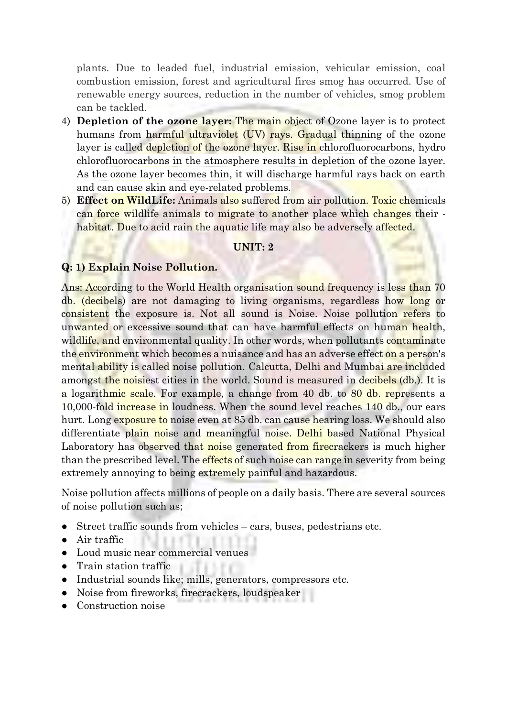plants. Due to leaded fuel, industrial emission, vehicular emission, coal combustion emission, forest and agricultural fires smog has occurred. Use of renewable energy sources, reduction in the number of vehicles, smog problem can be tackled.

- 4) **Depletion of the ozone layer:** The main object of Ozone layer is to protect humans from harmful ultraviolet (UV) rays. Gradual thinning of the ozone layer is called depletion of the ozone layer. Rise in chlorofluorocarbons, hydro chlorofluorocarbons in the atmosphere results in depletion of the ozone layer. As the ozone layer becomes thin, it will discharge harmful rays back on earth and can cause skin and eye-related problems.
- 5) **Effect on WildLife:** Animals also suffered from air pollution. Toxic chemicals can force wildlife animals to migrate to another place which changes their habitat. Due to acid rain the aquatic life may also be adversely affected.

#### **UNIT: 2**

#### **Q: 1) Explain Noise Pollution.**

Ans: According to the World Health organisation sound frequency is less than 70 db. (decibels) are not damaging to living organisms, regardless how long or consistent the exposure is. Not all sound is Noise. Noise pollution refers to unwanted or excessive sound that can have harmful effects on human health, wildlife, and environmental quality. In other words, when pollutants contaminate the environment which becomes a nuisance and has an adverse effect on a person's mental ability is called noise pollution. Calcutta, Delhi and Mumbai are included amongst the noisiest cities in the world. Sound is measured in decibels (db.). It is a logarithmic scale. For example, a change from 40 db. to 80 db. represents a 10,000-fold increase in loudness. When the sound level reaches 140 db., our ears hurt. Long exposure to noise even at 85 db. can cause hearing loss. We should also differentiate plain noise and meaningful noise. Delhi based National Physical Laboratory has observed that noise generated from firecrackers is much higher than the prescribed level. The effects of such noise can range in severity from being extremely annoying to being extremely painful and hazardous.

Noise pollution affects millions of people on a daily basis. There are several sources of noise pollution such as;

- Street traffic sounds from vehicles cars, buses, pedestrians etc.
- Air traffic
- Loud music near commercial venues
- Train station traffic
- Industrial sounds like; mills, generators, compressors etc.
- Noise from fireworks, firecrackers, loudspeaker
- Construction noise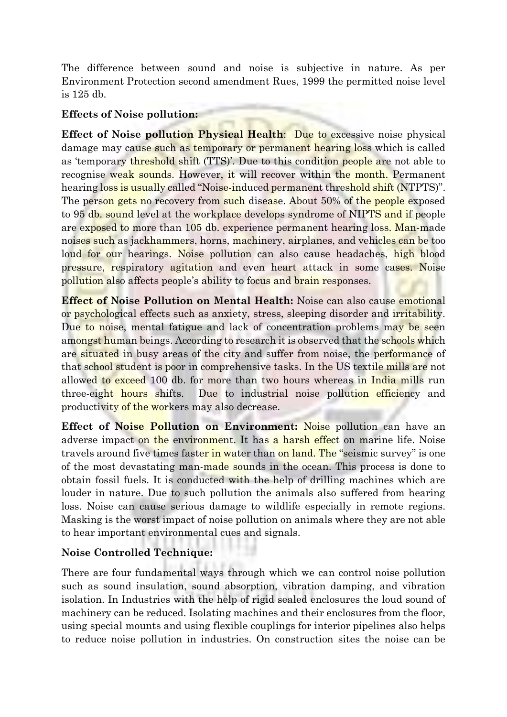The difference between sound and noise is subjective in nature. As per Environment Protection second amendment Rues, 1999 the permitted noise level is 125 db.

# **Effects of Noise pollution:**

**Effect of Noise pollution Physical Health**: Due to excessive noise physical damage may cause such as temporary or permanent hearing loss which is called as 'temporary threshold shift (TTS)'. Due to this condition people are not able to recognise weak sounds. However, it will recover within the month. Permanent hearing loss is usually called "Noise-induced permanent threshold shift (NTPTS)". The person gets no recovery from such disease. About 50% of the people exposed to 95 db. sound level at the workplace develops syndrome of NIPTS and if people are exposed to more than 105 db. experience permanent hearing loss. Man-made noises such as jackhammers, horns, machinery, airplanes, and vehicles can be too loud for our hearings. Noise pollution can also cause headaches, high blood pressure, respiratory agitation and even heart attack in some cases. Noise pollution also affects people's ability to focus and brain responses.

**Effect of Noise Pollution on Mental Health:** Noise can also cause emotional or psychological effects such as anxiety, stress, sleeping disorder and irritability. Due to noise, mental fatigue and lack of concentration problems may be seen amongst human beings. According to research it is observed that the schools which are situated in busy areas of the city and suffer from noise, the performance of that school student is poor in comprehensive tasks. In the US textile mills are not allowed to exceed 100 db. for more than two hours whereas in India mills run three-eight hours shifts. Due to industrial noise pollution efficiency and productivity of the workers may also decrease.

**Effect of Noise Pollution on Environment:** Noise pollution can have an adverse impact on the environment. It has a harsh effect on marine life. Noise travels around five times faster in water than on land. The "seismic survey" is one of the most devastating man-made sounds in the ocean. This process is done to obtain fossil fuels. It is conducted with the help of drilling machines which are louder in nature. Due to such pollution the animals also suffered from hearing loss. Noise can cause serious damage to wildlife especially in remote regions. Masking is the worst impact of noise pollution on animals where they are not able to hear important environmental cues and signals.

# **Noise Controlled Technique:**

There are four fundamental ways through which we can control noise pollution such as sound insulation, sound absorption, vibration damping, and vibration isolation. In Industries with the help of rigid sealed enclosures the loud sound of machinery can be reduced. Isolating machines and their enclosures from the floor, using special mounts and using flexible couplings for interior pipelines also helps to reduce noise pollution in industries. On construction sites the noise can be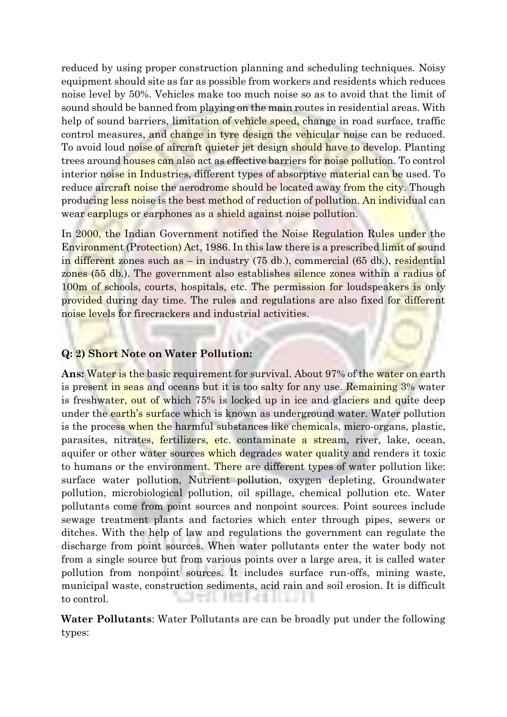reduced by using proper construction planning and scheduling techniques. Noisy equipment should site as far as possible from workers and residents which reduces noise level by 50%. Vehicles make too much noise so as to avoid that the limit of sound should be banned from playing on the main routes in residential areas. With help of sound barriers, limitation of vehicle speed, change in road surface, traffic control measures, and change in tyre design the vehicular noise can be reduced. To avoid loud noise of aircraft quieter jet design should have to develop. Planting trees around houses can also act as effective barriers for noise pollution. To control interior noise in Industries, different types of absorptive material can be used. To reduce aircraft noise the aerodrome should be located away from the city. Though producing less noise is the best method of reduction of pollution. An individual can wear earplugs or earphones as a shield against noise pollution.

In 2000, the Indian Government notified the Noise Regulation Rules under the Environment (Protection) Act, 1986. In this law there is a prescribed limit of sound in different zones such as – in industry (75 db.), commercial (65 db.), residential zones (55 db.). The government also establishes silence zones within a radius of 100m of schools, courts, hospitals, etc. The permission for loudspeakers is only provided during day time. The rules and regulations are also fixed for different noise levels for firecrackers and industrial activities.

#### **Q: 2) Short Note on Water Pollution:**

**Ans:** Water is the basic requirement for survival. About 97% of the water on earth is present in seas and oceans but it is too salty for any use. Remaining 3% water is freshwater, out of which 75% is locked up in ice and glaciers and quite deep under the earth's surface which is known as underground water. Water pollution is the process when the harmful substances like chemicals, micro-organs, plastic, parasites, nitrates, fertilizers, etc. contaminate a stream, river, lake, ocean, aquifer or other water sources which degrades water quality and renders it toxic to humans or the environment. There are different types of water pollution like: surface water pollution, Nutrient pollution, oxygen depleting, Groundwater pollution, microbiological pollution, oil spillage, chemical pollution etc. Water pollutants come from point sources and nonpoint sources. Point sources include sewage treatment plants and factories which enter through pipes, sewers or ditches. With the help of law and regulations the government can regulate the discharge from point sources. When water pollutants enter the water body not from a single source but from various points over a large area, it is called water pollution from nonpoint sources. It includes surface run-offs, mining waste, municipal waste, construction sediments, acid rain and soil erosion. It is difficult to control.

**Water Pollutants**: Water Pollutants are can be broadly put under the following types: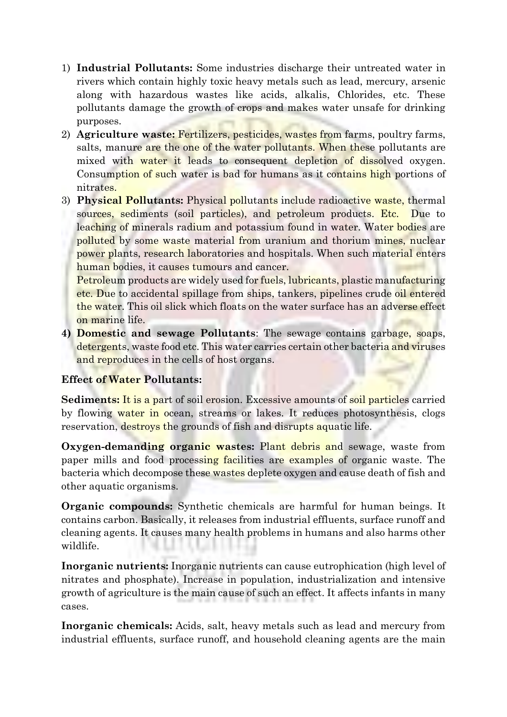- 1) **Industrial Pollutants:** Some industries discharge their untreated water in rivers which contain highly toxic heavy metals such as lead, mercury, arsenic along with hazardous wastes like acids, alkalis, Chlorides, etc. These pollutants damage the growth of crops and makes water unsafe for drinking purposes.
- 2) **Agriculture waste:** Fertilizers, pesticides, wastes from farms, poultry farms, salts, manure are the one of the water pollutants. When these pollutants are mixed with water it leads to consequent depletion of dissolved oxygen. Consumption of such water is bad for humans as it contains high portions of nitrates.
- 3) **Physical Pollutants:** Physical pollutants include radioactive waste, thermal sources, sediments (soil particles), and petroleum products. Etc. Due to leaching of minerals radium and potassium found in water. Water bodies are polluted by some waste material from uranium and thorium mines, nuclear power plants, research laboratories and hospitals. When such material enters human bodies, it causes tumours and cancer.

Petroleum products are widely used for fuels, lubricants, plastic manufacturing etc. Due to accidental spillage from ships, tankers, pipelines crude oil entered the water. This oil slick which floats on the water surface has an adverse effect on marine life.

**4) Domestic and sewage Pollutants**: The sewage contains garbage, soaps, detergents, waste food etc. This water carries certain other bacteria and viruses and reproduces in the cells of host organs.

# **Effect of Water Pollutants:**

**Sediments:** It is a part of soil erosion. Excessive amounts of soil particles carried by flowing water in ocean, streams or lakes. It reduces photosynthesis, clogs reservation, destroys the grounds of fish and disrupts aquatic life.

**Oxygen-demanding organic wastes:** Plant debris and sewage, waste from paper mills and food processing facilities are examples of organic waste. The bacteria which decompose these wastes deplete oxygen and cause death of fish and other aquatic organisms.

**Organic compounds:** Synthetic chemicals are harmful for human beings. It contains carbon. Basically, it releases from industrial effluents, surface runoff and cleaning agents. It causes many health problems in humans and also harms other wildlife.

**Inorganic nutrients:** Inorganic nutrients can cause eutrophication (high level of nitrates and phosphate). Increase in population, industrialization and intensive growth of agriculture is the main cause of such an effect. It affects infants in many cases.

**Inorganic chemicals:** Acids, salt, heavy metals such as lead and mercury from industrial effluents, surface runoff, and household cleaning agents are the main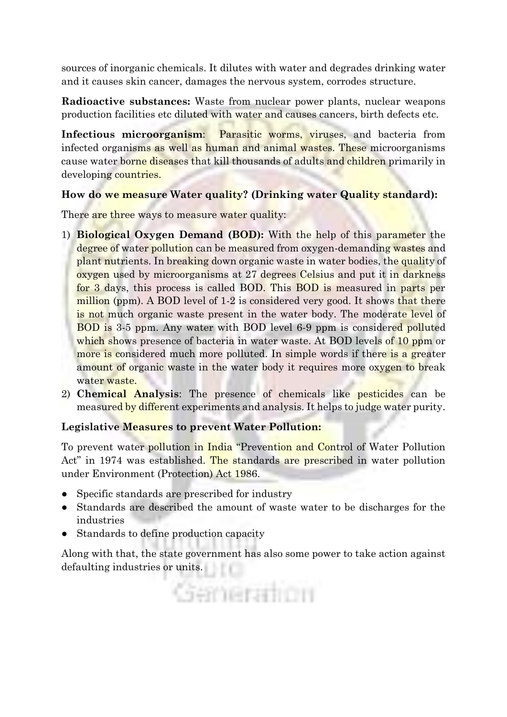sources of inorganic chemicals. It dilutes with water and degrades drinking water and it causes skin cancer, damages the nervous system, corrodes structure.

**Radioactive substances:** Waste from nuclear power plants, nuclear weapons production facilities etc diluted with water and causes cancers, birth defects etc.

**Infectious microorganism:** Parasitic worms, viruses, and bacteria from infected organisms as well as human and animal wastes. These microorganisms cause water borne diseases that kill thousands of adults and children primarily in developing countries.

# **How do we measure Water quality? (Drinking water Quality standard):**

There are three ways to measure water quality:

- 1) **Biological Oxygen Demand (BOD):** With the help of this parameter the degree of water pollution can be measured from oxygen-demanding wastes and plant nutrients. In breaking down organic waste in water bodies, the quality of oxygen used by microorganisms at 27 degrees Celsius and put it in darkness for 3 days, this process is called BOD. This BOD is measured in parts per million (ppm). A BOD level of 1-2 is considered very good. It shows that there is not much organic waste present in the water body. The moderate level of BOD is 3-5 ppm. Any water with BOD level 6-9 ppm is considered polluted which shows presence of bacteria in water waste. At BOD levels of 10 ppm or more is considered much more polluted. In simple words if there is a greater amount of organic waste in the water body it requires more oxygen to break water waste
- 2) **Chemical Analysis**: The presence of chemicals like pesticides can be measured by different experiments and analysis. It helps to judge water purity.

# **Legislative Measures to prevent Water Pollution:**

To prevent water pollution in India "Prevention and Control of Water Pollution Act" in 1974 was established. The standards are prescribed in water pollution under Environment (Protection) Act 1986.

- Specific standards are prescribed for industry
- Standards are described the amount of waste water to be discharges for the industries
- Standards to define production capacity

Along with that, the state government has also some power to take action against defaulting industries or units.

Gemeration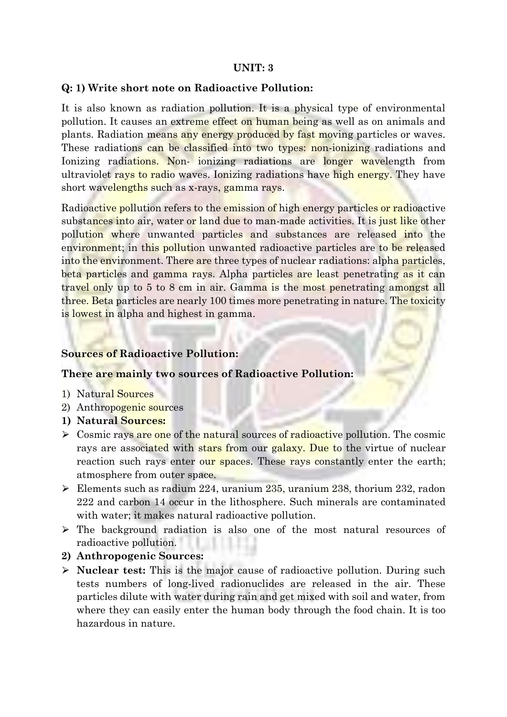### **UNIT: 3**

#### **Q: 1) Write short note on Radioactive Pollution:**

It is also known as radiation pollution. It is a physical type of environmental pollution. It causes an extreme effect on human being as well as on animals and plants. Radiation means any energy produced by fast moving particles or waves. These radiations can be classified into two types: non-ionizing radiations and Ionizing radiations. Non- ionizing radiations are longer wavelength from ultraviolet rays to radio waves. Ionizing radiations have high energy. They have short wavelengths such as x-rays, gamma rays.

Radioactive pollution refers to the emission of high energy particles or radioactive substances into air, water or land due to man-made activities. It is just like other pollution where unwanted particles and substances are released into the environment; in this pollution unwanted radioactive particles are to be released into the environment. There are three types of nuclear radiations: alpha particles, beta particles and gamma rays. Alpha particles are least penetrating as it can travel only up to 5 to 8 cm in air. Gamma is the most penetrating amongst all three. Beta particles are nearly 100 times more penetrating in nature. The toxicity is lowest in alpha and highest in gamma.

#### **Sources of Radioactive Pollution:**

#### **There are mainly two sources of Radioactive Pollution:**

- 1) Natural Sources
- 2) Anthropogenic sources
- **1) Natural Sources:**
- $\triangleright$  Cosmic rays are one of the natural sources of radioactive pollution. The cosmic rays are associated with stars from our galaxy. Due to the virtue of nuclear reaction such rays enter our spaces. These rays constantly enter the earth; atmosphere from outer space.
- $\triangleright$  Elements such as radium 224, uranium 235, uranium 238, thorium 232, radon 222 and carbon 14 occur in the lithosphere. Such minerals are contaminated with water; it makes natural radioactive pollution.
- $\triangleright$  The background radiation is also one of the most natural resources of radioactive pollution.

#### **2) Anthropogenic Sources:**

⮚ **Nuclear test:** This is the major cause of radioactive pollution. During such tests numbers of long-lived radionuclides are released in the air. These particles dilute with water during rain and get mixed with soil and water, from where they can easily enter the human body through the food chain. It is too hazardous in nature.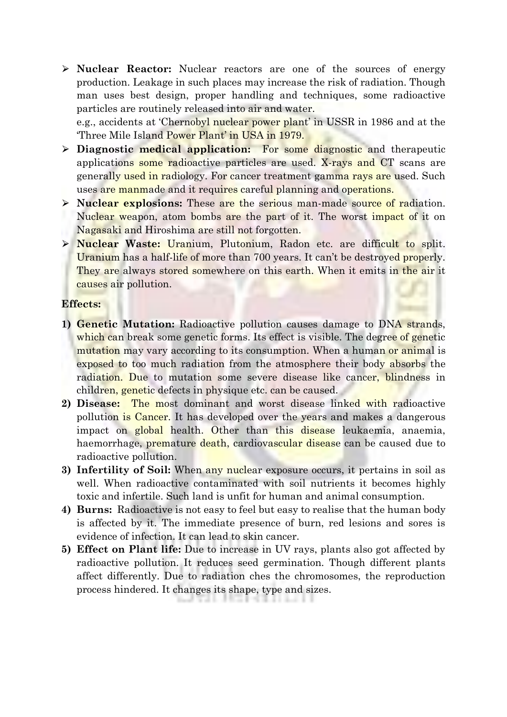⮚ **Nuclear Reactor:** Nuclear reactors are one of the sources of energy production. Leakage in such places may increase the risk of radiation. Though man uses best design, proper handling and techniques, some radioactive particles are routinely released into air and water.

e.g., accidents at 'Chernobyl nuclear power plant' in USSR in 1986 and at the 'Three Mile Island Power Plant' in USA in 1979.

- ⮚ **Diagnostic medical application:** For some diagnostic and therapeutic applications some radioactive particles are used. X-rays and CT scans are generally used in radiology. For cancer treatment gamma rays are used. Such uses are manmade and it requires careful planning and operations.
- ⮚ **Nuclear explosions:** These are the serious man-made source of radiation. Nuclear weapon, atom bombs are the part of it. The worst impact of it on Nagasaki and Hiroshima are still not forgotten.
- ⮚ **Nuclear Waste:** Uranium, Plutonium, Radon etc. are difficult to split. Uranium has a half-life of more than 700 years. It can't be destroyed properly. They are always stored somewhere on this earth. When it emits in the air it causes air pollution.

#### **Effects:**

- **1) Genetic Mutation:** Radioactive pollution causes damage to DNA strands, which can break some genetic forms. Its effect is visible. The degree of genetic mutation may vary according to its consumption. When a human or animal is exposed to too much radiation from the atmosphere their body absorbs the radiation. Due to mutation some severe disease like cancer, blindness in children, genetic defects in physique etc. can be caused.
- **2) Disease:** The most dominant and worst disease linked with radioactive pollution is Cancer. It has developed over the years and makes a dangerous impact on global health. Other than this disease leukaemia, anaemia, haemorrhage, premature death, cardiovascular disease can be caused due to radioactive pollution.
- **3) Infertility of Soil:** When any nuclear exposure occurs, it pertains in soil as well. When radioactive contaminated with soil nutrients it becomes highly toxic and infertile. Such land is unfit for human and animal consumption.
- **4) Burns:** Radioactive is not easy to feel but easy to realise that the human body is affected by it. The immediate presence of burn, red lesions and sores is evidence of infection. It can lead to skin cancer.
- **5) Effect on Plant life:** Due to increase in UV rays, plants also got affected by radioactive pollution. It reduces seed germination. Though different plants affect differently. Due to radiation ches the chromosomes, the reproduction process hindered. It changes its shape, type and sizes.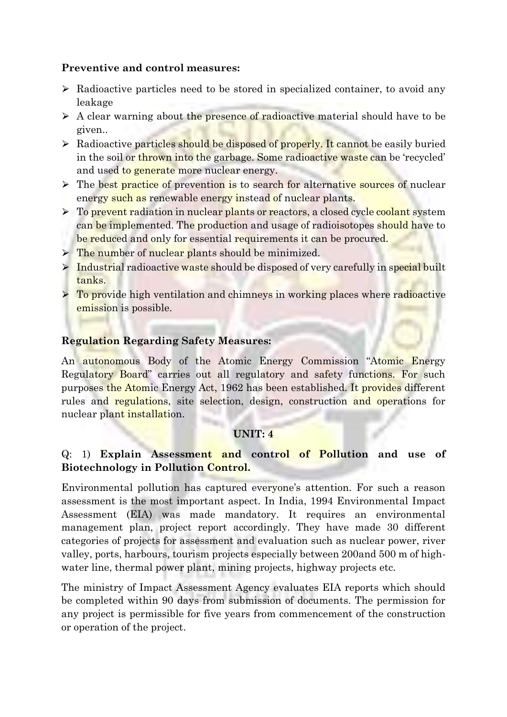# **Preventive and control measures:**

- $\triangleright$  Radioactive particles need to be stored in specialized container, to avoid any leakage
- $\triangleright$  A clear warning about the presence of radioactive material should have to be given..
- $\triangleright$  Radioactive particles should be disposed of properly. It cannot be easily buried in the soil or thrown into the garbage. Some radioactive waste can be 'recycled' and used to generate more nuclear energy.
- If The best practice of prevention is to search for alternative sources of nuclear energy such as renewable energy instead of nuclear plants.
- $\triangleright$  To prevent radiation in nuclear plants or reactors, a closed cycle coolant system can be implemented. The production and usage of radioisotopes should have to be reduced and only for essential requirements it can be procured.
- $\triangleright$  The number of nuclear plants should be minimized.
- $\triangleright$  Industrial radioactive waste should be disposed of very carefully in special built tanks.
- $\triangleright$  To provide high ventilation and chimneys in working places where radioactive emission is possible.

# **Regulation Regarding Safety Measures:**

An autonomous Body of the Atomic Energy Commission "Atomic Energy Regulatory Board" carries out all regulatory and safety functions. For such purposes the Atomic Energy Act, 1962 has been established. It provides different rules and regulations, site selection, design, construction and operations for nuclear plant installation.

# **UNIT: 4**

# Q: 1) **Explain Assessment and control of Pollution and use of Biotechnology in Pollution Control.**

Environmental pollution has captured everyone's attention. For such a reason assessment is the most important aspect. In India, 1994 Environmental Impact Assessment (EIA) was made mandatory. It requires an environmental management plan, project report accordingly. They have made 30 different categories of projects for assessment and evaluation such as nuclear power, river valley, ports, harbours, tourism projects especially between 200and 500 m of highwater line, thermal power plant, mining projects, highway projects etc.

The ministry of Impact Assessment Agency evaluates EIA reports which should be completed within 90 days from submission of documents. The permission for any project is permissible for five years from commencement of the construction or operation of the project.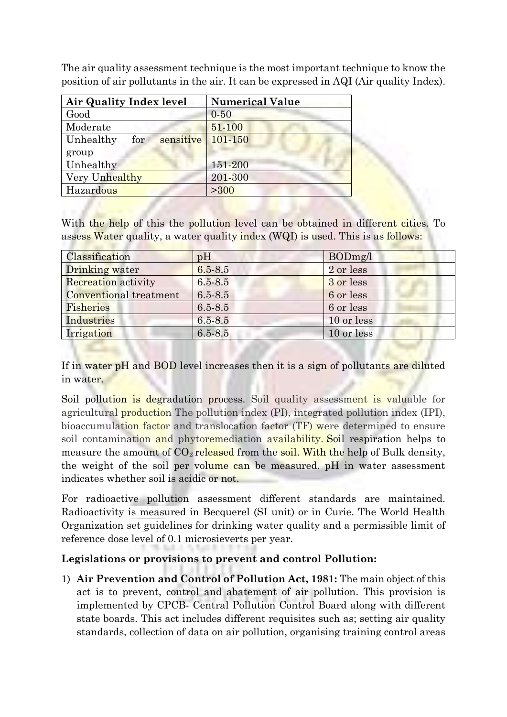| Air Quality Index level       | <b>Numerical Value</b> |
|-------------------------------|------------------------|
| Good                          | $0 - 50$               |
| Moderate                      | 51-100                 |
| sensitive<br>Unhealthy<br>for | 101-150                |
| group                         |                        |
| Unhealthy                     | 151-200                |
| Very Unhealthy                | 201-300                |
| Hazardous                     | >300                   |

The air quality assessment technique is the most important technique to know the position of air pollutants in the air. It can be expressed in AQI (Air quality Index).

With the help of this the pollution level can be obtained in different cities. To assess Water quality, a water quality index (WQI) is used. This is as follows:

| Classification         | pH          | BODmg/l    |
|------------------------|-------------|------------|
| Drinking water         | $6.5 - 8.5$ | 2 or less  |
| Recreation activity    | $6.5 - 8.5$ | 3 or less  |
| Conventional treatment | $6.5 - 8.5$ | 6 or less  |
| Fisheries              | $6.5 - 8.5$ | 6 or less  |
| Industries             | $6.5 - 8.5$ | 10 or less |
| Irrigation             | $6.5 - 8.5$ | 10 or less |

If in water pH and BOD level increases then it is a sign of pollutants are diluted in water.

Soil pollution is degradation process. Soil quality assessment is valuable for agricultural production The pollution index (PI), integrated pollution index (IPI), bioaccumulation factor and translocation factor (TF) were determined to ensure soil contamination and phytoremediation availability. Soil respiration helps to measure the amount of  $CO<sub>2</sub>$  released from the soil. With the help of Bulk density, the weight of the soil per volume can be measured. pH in water assessment indicates whether soil is acidic or not.

For radioactive pollution assessment different standards are maintained. Radioactivity is measured in Becquerel (SI unit) or in Curie. The World Health Organization set guidelines for drinking water quality and a permissible limit of reference dose level of 0.1 microsieverts per year.

# **Legislations or provisions to prevent and control Pollution:**

1) **Air Prevention and Control of Pollution Act, 1981:** The main object of this act is to prevent, control and abatement of air pollution. This provision is implemented by CPCB- Central Pollution Control Board along with different state boards. This act includes different requisites such as; setting air quality standards, collection of data on air pollution, organising training control areas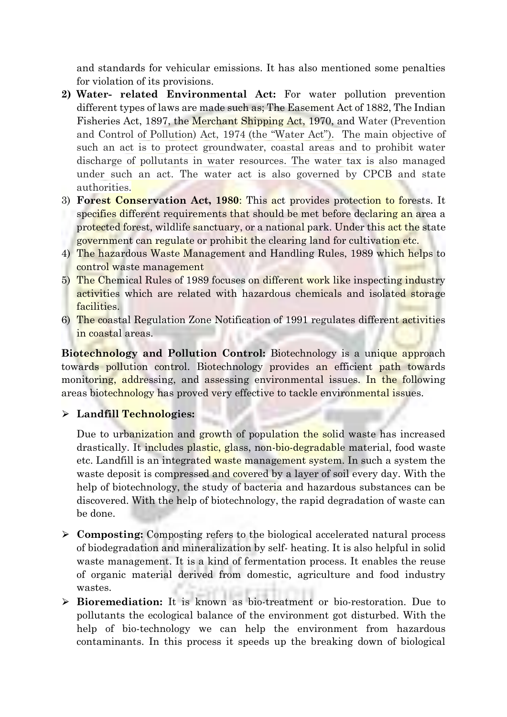and standards for vehicular emissions. It has also mentioned some penalties for violation of its provisions.

- **2) Water- related Environmental Act:** For water pollution prevention different types of laws are made such as; The Easement Act of 1882, The Indian Fisheries Act, 1897, the Merchant Shipping Act, 1970, and Water (Prevention and Control of Pollution) Act, 1974 (the "Water Act"). The main objective of such an act is to protect groundwater, coastal areas and to prohibit water discharge of pollutants in water resources. The water tax is also managed under such an act. The water act is also governed by CPCB and state authorities.
- 3) **Forest Conservation Act, 1980**: This act provides protection to forests. It specifies different requirements that should be met before declaring an area a protected forest, wildlife sanctuary, or a national park. Under this act the state government can regulate or prohibit the clearing land for cultivation etc.
- 4) The hazardous Waste Management and Handling Rules, 1989 which helps to control waste management
- 5) The Chemical Rules of 1989 focuses on different work like inspecting industry activities which are related with hazardous chemicals and isolated storage facilities.
- 6) The coastal Regulation Zone Notification of 1991 regulates different activities in coastal areas.

**Biotechnology and Pollution Control:** Biotechnology is a unique approach towards pollution control. Biotechnology provides an efficient path towards monitoring, addressing, and assessing environmental issues. In the following areas biotechnology has proved very effective to tackle environmental issues.

# ⮚ **Landfill Technologies:**

Due to urbanization and growth of population the solid waste has increased drastically. It includes plastic, glass, non-bio-degradable material, food waste etc. Landfill is an integrated waste management system. In such a system the waste deposit is compressed and covered by a layer of soil every day. With the help of biotechnology, the study of bacteria and hazardous substances can be discovered. With the help of biotechnology, the rapid degradation of waste can be done.

- ⮚ **Composting:** Composting refers to the biological accelerated natural process of biodegradation and mineralization by self- heating. It is also helpful in solid waste management. It is a kind of fermentation process. It enables the reuse of organic material derived from domestic, agriculture and food industry wastes.
- ⮚ **Bioremediation:** It is known as bio-treatment or bio-restoration. Due to pollutants the ecological balance of the environment got disturbed. With the help of bio-technology we can help the environment from hazardous contaminants. In this process it speeds up the breaking down of biological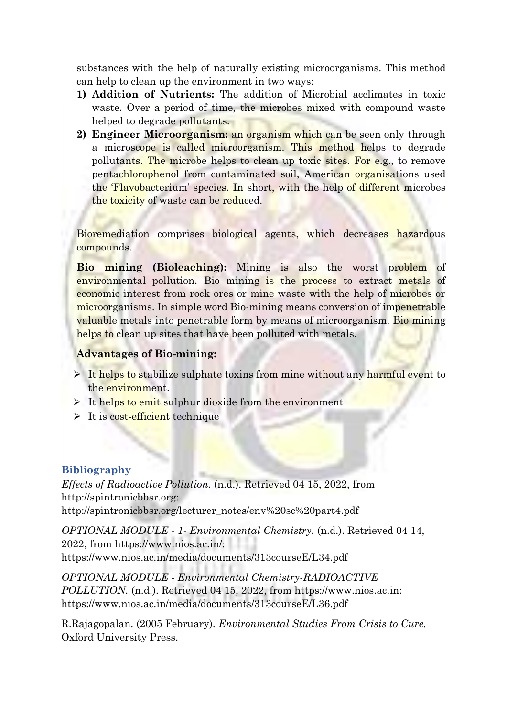substances with the help of naturally existing microorganisms. This method can help to clean up the environment in two ways:

- **1) Addition of Nutrients:** The addition of Microbial acclimates in toxic waste. Over a period of time, the microbes mixed with compound waste helped to degrade pollutants.
- **2) Engineer Microorganism:** an organism which can be seen only through a microscope is called microorganism. This method helps to degrade pollutants. The microbe helps to clean up toxic sites. For e.g., to remove pentachlorophenol from contaminated soil, American organisations used the 'Flavobacterium' species. In short, with the help of different microbes the toxicity of waste can be reduced.

Bioremediation comprises biological agents, which decreases hazardous compounds.

**Bio mining (Bioleaching):** Mining is also the worst problem of environmental pollution. Bio mining is the process to extract metals of economic interest from rock ores or mine waste with the help of microbes or microorganisms. In simple word Bio-mining means conversion of impenetrable valuable metals into penetrable form by means of microorganism. Bio mining helps to clean up sites that have been polluted with metals.

## **Advantages of Bio-mining:**

- $\triangleright$  It helps to stabilize sulphate toxins from mine without any harmful event to the environment.
- $\triangleright$  It helps to emit sulphur dioxide from the environment
- $\triangleright$  It is cost-efficient technique

#### **Bibliography**

*Effects of Radioactive Pollution.* (n.d.). Retrieved 04 15, 2022, from http://spintronicbbsr.org: http://spintronicbbsr.org/lecturer\_notes/env%20sc%20part4.pdf

*OPTIONAL MODULE - 1- Environmental Chemistry.* (n.d.). Retrieved 04 14, 2022, from https://www.nios.ac.in/: https://www.nios.ac.in/media/documents/313courseE/L34.pdf

*OPTIONAL MODULE - Environmental Chemistry-RADIOACTIVE POLLUTION.* (n.d.). Retrieved 04 15, 2022, from https://www.nios.ac.in: https://www.nios.ac.in/media/documents/313courseE/L36.pdf

R.Rajagopalan. (2005 February). *Environmental Studies From Crisis to Cure.* Oxford University Press.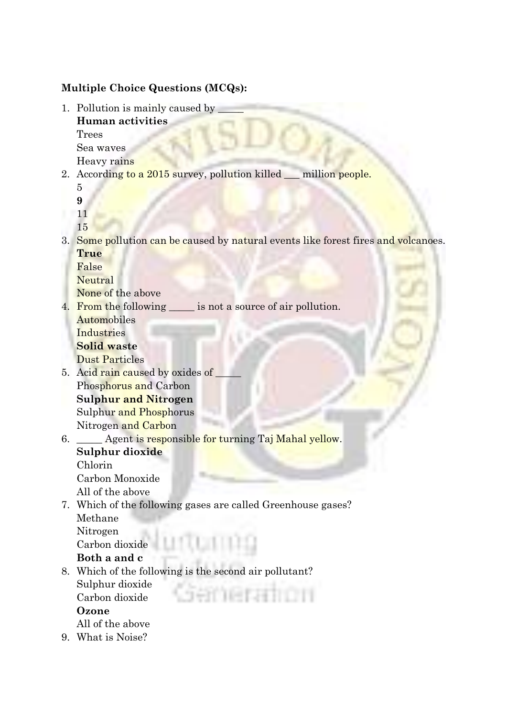# **Multiple Choice Questions (MCQs):**

1. Pollution is mainly caused by **Human activities** Trees

Sea waves Heavy rains

2. According to a 2015 survey, pollution killed million people.

5 **9**

11

15

3. Some pollution can be caused by natural events like forest fires and volcanoes. **True**

False

Neutral

None of the above

4. From the following \_\_\_\_\_\_ is not a source of air pollution. Automobiles

**Industries** 

**Solid waste**

Dust Particles

- 5. Acid rain caused by oxides of Phosphorus and Carbon **Sulphur and Nitrogen** Sulphur and Phosphorus Nitrogen and Carbon
- 6. \_\_\_\_\_ Agent is responsible for turning Taj Mahal yellow. **Sulphur dioxide** Chlorin

Carbon Monoxide All of the above

7. Which of the following gases are called Greenhouse gases? Methane Nitrogen

Carbon dioxide

**Both a and c**

8. Which of the following is the second air pollutant? Sulphur dioxide en versein zu Carbon dioxide **Ozone**

All of the above

9. What is Noise?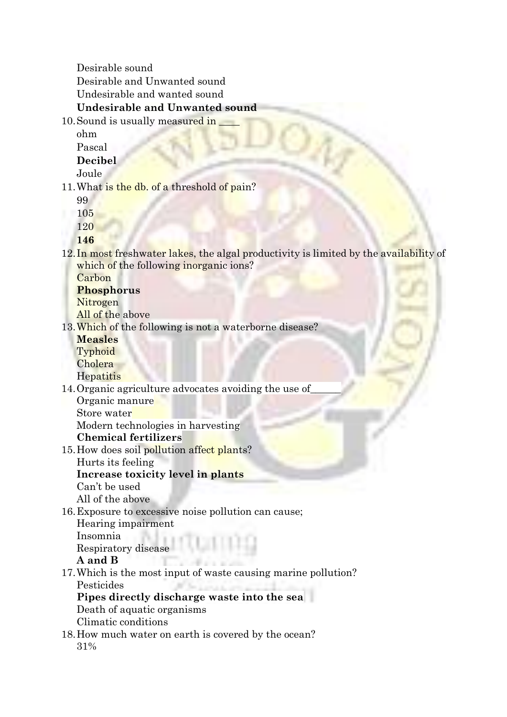Desirable sound Desirable and Unwanted sound Undesirable and wanted sound **Undesirable and Unwanted sound**

10. Sound is usually measured in

ohm

Pascal **Decibel**

Joule

11. What is the db. of a threshold of pain?

99

105

120

**146**

12. In most freshwater lakes, the algal productivity is limited by the availability of which of the following inorganic ions?

**Carbon** 

**Phosphorus**

Nitrogen

All of the above

- 13. Which of the following is not a waterborne disease?
	- **Measles Typhoid**
	- **Cholera**

**Hepatitis** 

- 14.Organic agriculture advocates avoiding the use of\_\_\_\_\_\_ Organic manure
	- Store water

Modern technologies in harvesting

# **Chemical fertilizers**

- 15. How does soil pollution affect plants? Hurts its feeling
	- **Increase toxicity level in plants**
	- Can't be used

All of the above

16.Exposure to excessive noise pollution can cause;

Hearing impairment Insomnia Respiratory disease

# **A and B**

- 17.Which is the most input of waste causing marine pollution? Pesticides **Pipes directly discharge waste into the sea** Death of aquatic organisms
	- Climatic conditions
- 18.How much water on earth is covered by the ocean? 31%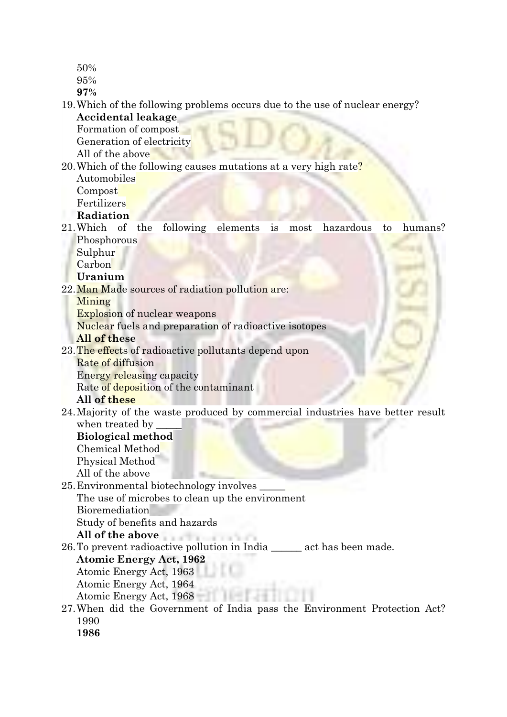- 50%
- 95%

**97%**

19.Which of the following problems occurs due to the use of nuclear energy? **Accidental leakage**

Formation of compost

Generation of electricity

All of the above

#### 20. Which of the following causes mutations at a very high rate? Automobiles

Compost

**Fertilizers** 

# **Radiation**

- 21.Which of the following elements is most hazardous to humans? **Phosphorous** 
	- Sulphur

Carbon

#### **Uranium**

22.Man Made sources of radiation pollution are:

Mining

Explosion of nuclear weapons

Nuclear fuels and preparation of radioactive isotopes

#### **All of these**

- 23.The effects of radioactive pollutants depend upon
	- Rate of diffusion

Energy releasing capacity

Rate of deposition of the contaminant

#### **All of these**

24.Majority of the waste produced by commercial industries have better result when treated by

#### **Biological method**

Chemical Method Physical Method All of the above

25.Environmental biotechnology involves \_\_\_\_\_

The use of microbes to clean up the environment

Jan.

Bioremediation

Study of benefits and hazards

**All of the above**

26.To prevent radioactive pollution in India \_\_\_\_\_\_ act has been made.

# **Atomic Energy Act, 1962**

- Atomic Energy Act, 1963
- Atomic Energy Act, 1964

Atomic Energy Act, 1968

27.When did the Government of India pass the Environment Protection Act? 1990

**1986**